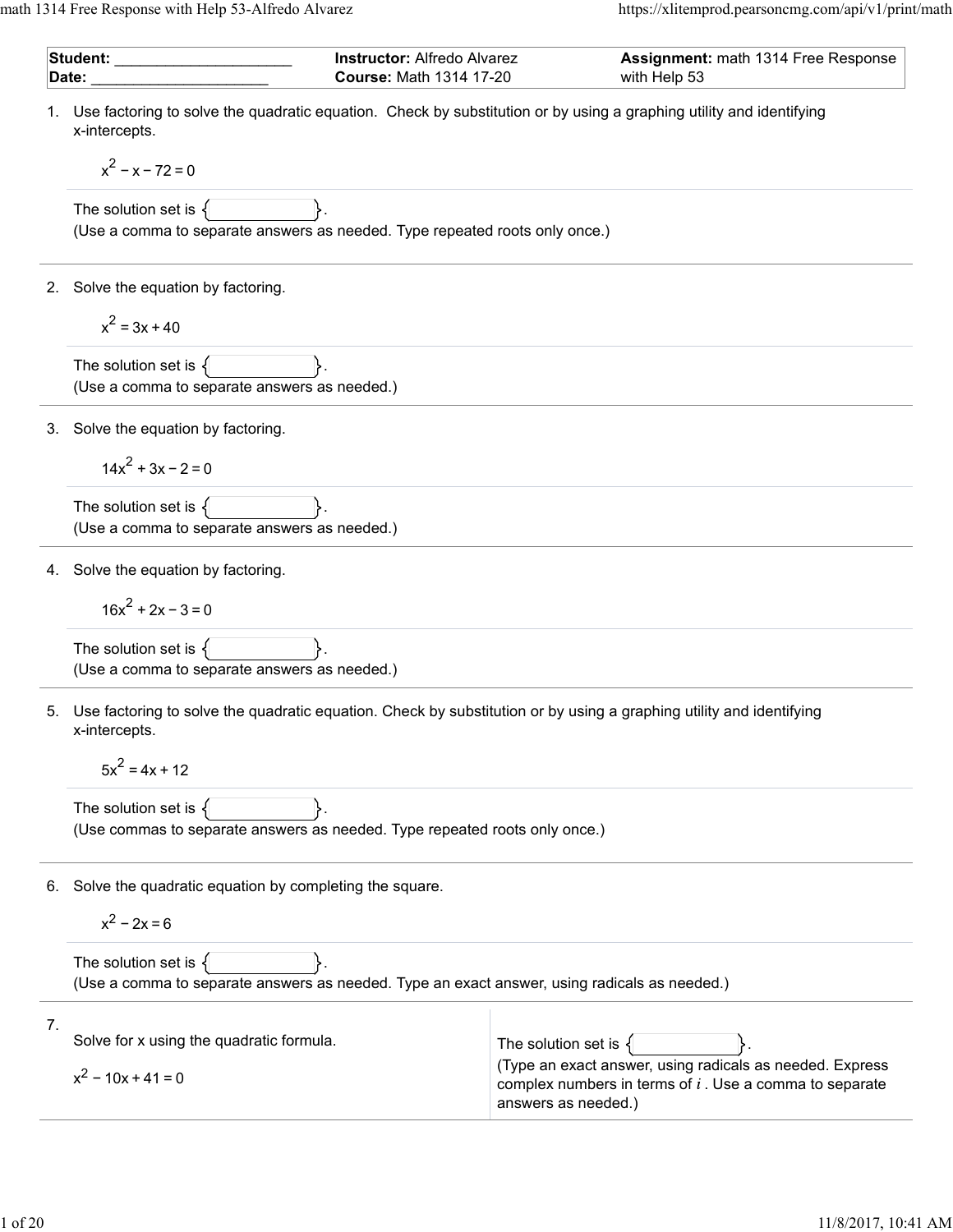math 1314 Free Response with Help 53-Alfredo Alvarez https://xlitemprod.pearsoncmg.com/api/v1/print/math

|                                                           | Student: _________<br><b>Instructor: Alfredo Alvarez</b><br><b>Course: Math 1314 17-20</b><br>Date:                                     |                                            | Assignment: math 1314 Free Response<br>with Help 53                                                                   |
|-----------------------------------------------------------|-----------------------------------------------------------------------------------------------------------------------------------------|--------------------------------------------|-----------------------------------------------------------------------------------------------------------------------|
|                                                           | 1. Use factoring to solve the quadratic equation. Check by substitution or by using a graphing utility and identifying<br>x-intercepts. |                                            |                                                                                                                       |
|                                                           | $x^2 - x - 72 = 0$                                                                                                                      |                                            |                                                                                                                       |
|                                                           | The solution set is $\{$<br>(Use a comma to separate answers as needed. Type repeated roots only once.)                                 |                                            |                                                                                                                       |
| 2.                                                        | Solve the equation by factoring.                                                                                                        |                                            |                                                                                                                       |
|                                                           | $x^2 = 3x + 40$                                                                                                                         |                                            |                                                                                                                       |
|                                                           | The solution set is $\{$<br>(Use a comma to separate answers as needed.)                                                                |                                            |                                                                                                                       |
|                                                           | 3. Solve the equation by factoring.                                                                                                     |                                            |                                                                                                                       |
|                                                           | $14x^2 + 3x - 2 = 0$                                                                                                                    |                                            |                                                                                                                       |
|                                                           | The solution set is $\{$<br>(Use a comma to separate answers as needed.)                                                                |                                            |                                                                                                                       |
|                                                           | 4. Solve the equation by factoring.                                                                                                     |                                            |                                                                                                                       |
|                                                           | $16x^2 + 2x - 3 = 0$                                                                                                                    |                                            |                                                                                                                       |
|                                                           | The solution set is $\{$<br>(Use a comma to separate answers as needed.)                                                                |                                            |                                                                                                                       |
| 5.                                                        | Use factoring to solve the quadratic equation. Check by substitution or by using a graphing utility and identifying<br>x-intercepts.    |                                            |                                                                                                                       |
|                                                           | $5x^2 = 4x + 12$                                                                                                                        |                                            |                                                                                                                       |
|                                                           | The solution set is $\{$<br>(Use commas to separate answers as needed. Type repeated roots only once.)                                  |                                            |                                                                                                                       |
| 6. Solve the quadratic equation by completing the square. |                                                                                                                                         |                                            |                                                                                                                       |
|                                                           | $x^2 - 2x = 6$                                                                                                                          |                                            |                                                                                                                       |
|                                                           | The solution set is $\{$<br>(Use a comma to separate answers as needed. Type an exact answer, using radicals as needed.)                |                                            |                                                                                                                       |
| 7.                                                        | Solve for x using the quadratic formula.                                                                                                |                                            |                                                                                                                       |
|                                                           | $x^2$ – 10x + 41 = 0                                                                                                                    | The solution set is<br>answers as needed.) | (Type an exact answer, using radicals as needed. Express<br>complex numbers in terms of $i$ . Use a comma to separate |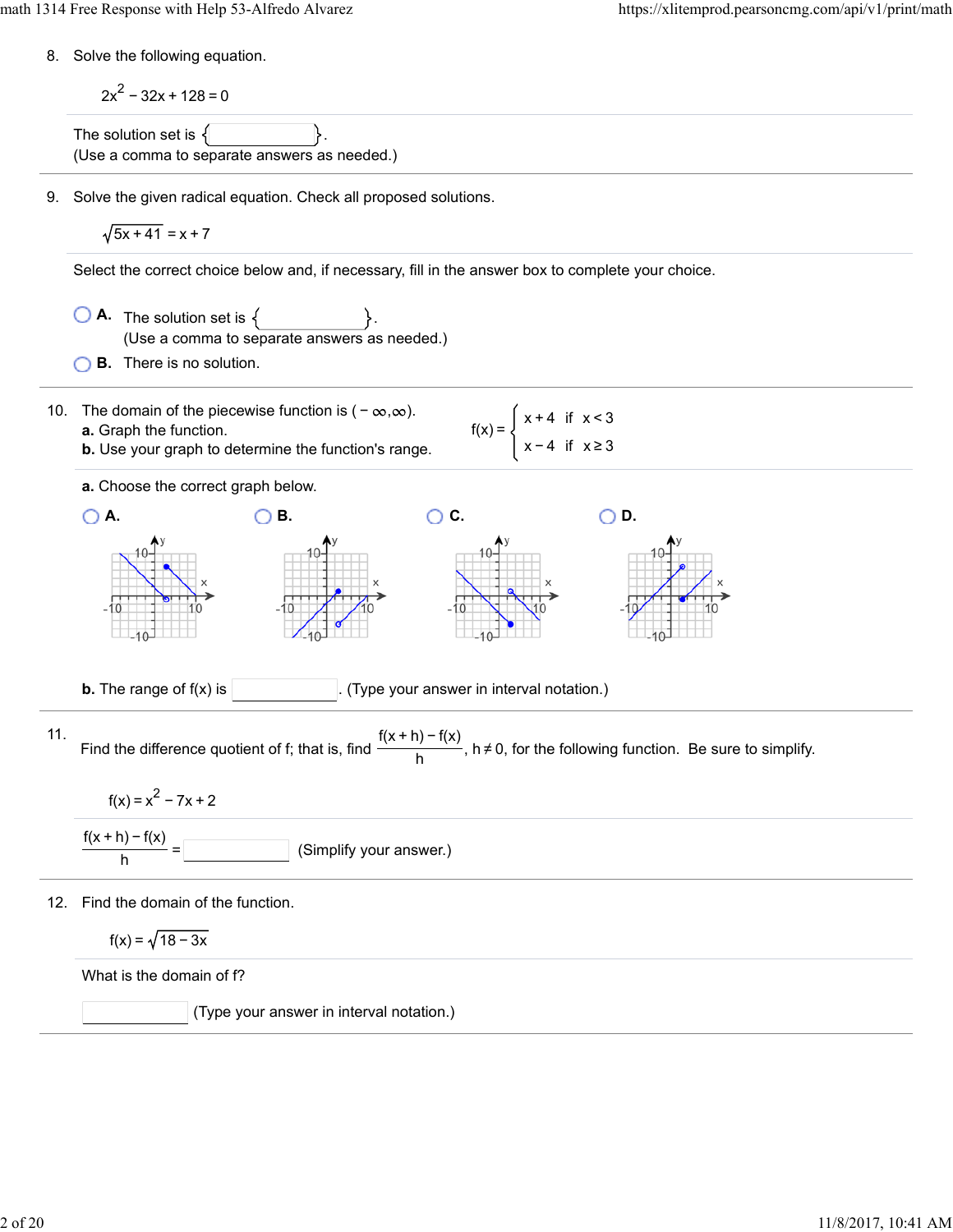8. Solve the following equation.

2x<sup>2</sup>-32x + 128 = 0  
\nThe solution set is {   
\n(Use a comma to separate answers as needed.)  
\n9. Solve the given radical equation. Check all proposed solutions.  
\n
$$
\sqrt{5x + 41} = x + 7
$$
  
\nSelect the correct choice below and, if necessary, fill in the answer box to complete your choice.  
\n**A.** The solution set is {   
\n(Use a comma to separate answers as needed.)  
\n**B.** There is no solution.  
\n10. The domain of the piecewise function is  $(-\infty, \infty)$ .  
\na. Chapter the function.  
\nb. Use your graph to determine the functions range.  
\na. Choose the correct graph below.  
\n**A. B. C. D.**  
\n11. Find the difference quotient of f; that is, find  $\frac{f(x + h) - f(x)}{h}$ ,  $h \ne 0$ , for the following function. Be sure to simplify.  
\n $f(x) = x^2 - 7x + 2$   
\n $\frac{f(x + h) - f(x)}{h} =$   
\n12. Find the domain of the function.  
\n $f(x) = x^2 - 7x + 2$   
\n $\frac{f(x + h) - f(x)}{h} =$   
\n $\frac{f(x) - f(x)}{h}$  (Simplify your answer.)  
\n $f(x) = \sqrt{18 - 3x}$   
\n $\frac{f(x) - f(x)}{h} = f(x)$  (Simplify your answer.)  
\n $f(x) = \sqrt{18 - 3x}$   
\n $\frac{f(x) - f(x)}{h} = f(x)$  (Simplify your answer.)  
\n $f(x) = \sqrt{18 - 3x}$   
\n $\frac{f(x) - f(x)}{h} = \frac{f(x) - f(x)}{h}$  (Simplify your answer.)  
\n $\frac{f(x) - f(x)}{h} = \frac{f(x) - f(x)}{h}$  (Simplify your answer.)  
\n $\frac{f(x) - f(x)}{h} = \frac{f(x) - f(x)}{h}$  (Simplify your answer.)  
\n $\frac{f(x) - f(x)}{h} = \frac{f(x) - f(x)}{h}$  (Simplify your answer.)  
\n $\frac{f(x) - f(x)}{h} = \frac{f(x) - f(x)}{h}$  (Simplify your answer.)  
\n $\frac{f(x) - f(x)}{$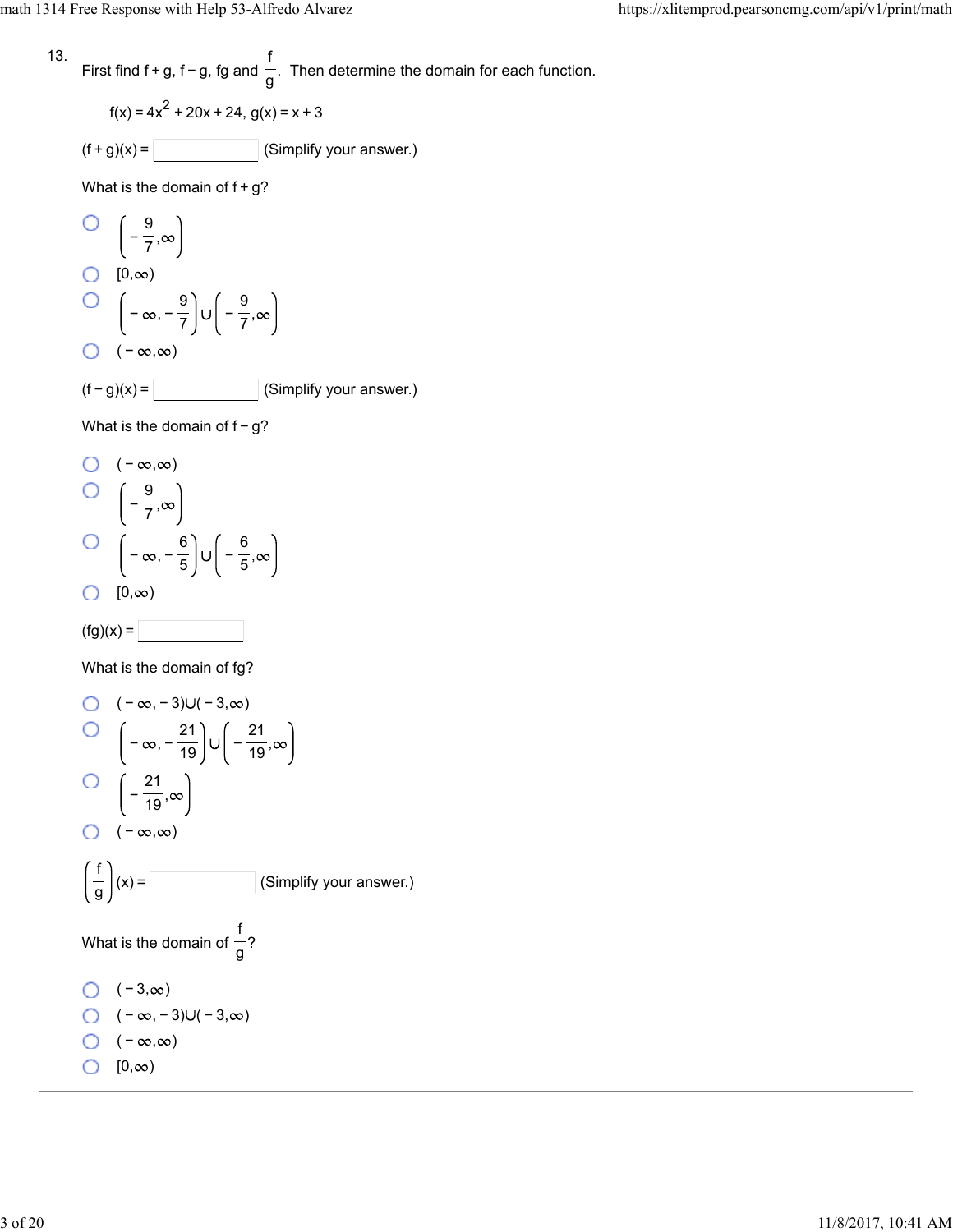$$
13. \qquad \qquad \text{First find } f
$$

First find 
$$
f + g
$$
,  $f - g$ ,  $fg$  and  $\frac{f}{g}$ . Then determine the domain for each function.

$$
f(x) = 4x^2 + 20x + 24, g(x) = x + 3
$$

$$
(f+g)(x) = \boxed{\qquad \qquad} \text{(Simplify your answer.)}
$$

What is the domain of  $f+g$ ?

$$
\begin{bmatrix}\n0 & \left(-\frac{9}{7}, \infty\right) \\
0 & [0, \infty)\n\end{bmatrix}
$$
\n
$$
\begin{bmatrix}\n-\infty, -\frac{9}{7} \\
0 & (-\infty, \infty)\n\end{bmatrix}
$$
\n
$$
\begin{bmatrix}\n-\infty, \infty\n\end{bmatrix}
$$
\n(Simplify your a

 $(f - g)(x) =$  (Simplify your answer.)

What is the domain of  $f-g$ ?

O 
$$
(-\infty, \infty)
$$
  
O  $\left(-\frac{9}{7}, \infty\right)$   
O  $\left(-\infty, -\frac{6}{5}\right) \cup \left(-\frac{6}{5}, \infty\right)$   
O  $[0, \infty)$ 

$$
(\text{fg})(x) = \boxed{\phantom{aaaaaaa}}
$$

What is the domain of fg?

O 
$$
(-\infty, -3) \cup (-3, \infty)
$$
  
\nO  $\left(-\infty, -\frac{21}{19}\right) \cup \left(-\frac{21}{19}, \infty\right)$   
\nO  $\left(-\frac{21}{19}, \infty\right)$   
\nO  $(-\infty, \infty)$   
\n $\left(\frac{f}{g}\right)(x) =$  [Simplify your answer.)  
\nWhat is the domain of  $\frac{f}{g}$ ?  
\nO  $(-3, \infty)$   
\nO  $(-\infty, -3) \cup (-3, \infty)$   
\nO  $(-\infty, \infty)$   
\nO  $[0, \infty)$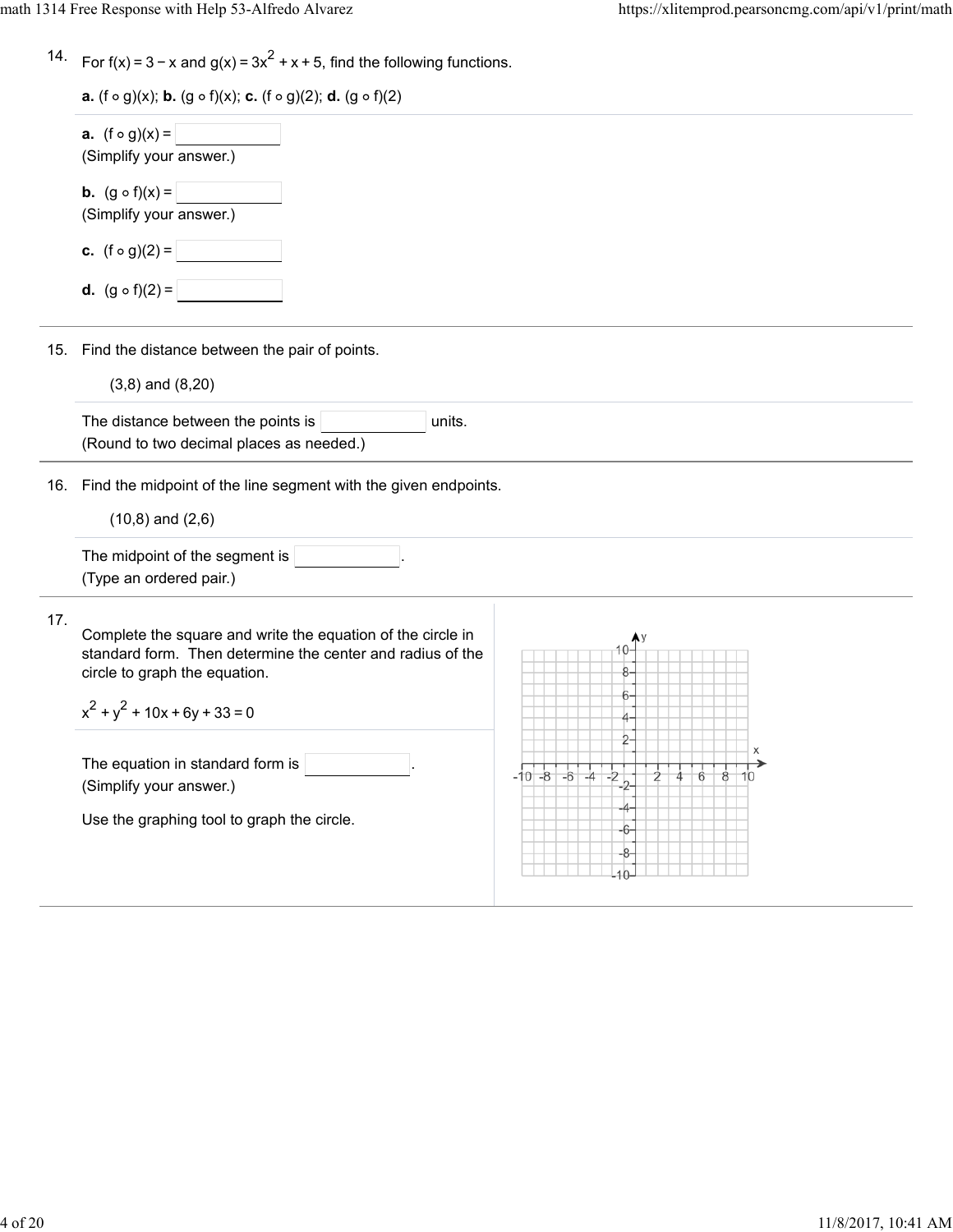|  | 14. For $f(x) = 3 - x$ and $g(x) = 3x^2 + x + 5$ , find the following functions. |  |  |  |
|--|----------------------------------------------------------------------------------|--|--|--|
|--|----------------------------------------------------------------------------------|--|--|--|

|     | <b>a.</b> $(f \circ g)(x) =$<br>(Simplify your answer.)                                                                                                                                           |                   |
|-----|---------------------------------------------------------------------------------------------------------------------------------------------------------------------------------------------------|-------------------|
|     | <b>b.</b> $(g \circ f)(x) =$<br>(Simplify your answer.)                                                                                                                                           |                   |
|     | c. $(f \circ g)(2) =$                                                                                                                                                                             |                   |
|     | <b>d.</b> $(g \circ f)(2) =$                                                                                                                                                                      |                   |
|     | 15. Find the distance between the pair of points.                                                                                                                                                 |                   |
|     | $(3,8)$ and $(8,20)$                                                                                                                                                                              |                   |
|     | The distance between the points is<br>units.<br>(Round to two decimal places as needed.)                                                                                                          |                   |
| 16. | Find the midpoint of the line segment with the given endpoints.                                                                                                                                   |                   |
|     | $(10,8)$ and $(2,6)$                                                                                                                                                                              |                   |
|     | The midpoint of the segment is<br>(Type an ordered pair.)                                                                                                                                         |                   |
| 17. | Complete the square and write the equation of the circle in<br>standard form. Then determine the center and radius of the<br>circle to graph the equation.<br>$x^{2} + y^{2} + 10x + 6y + 33 = 0$ |                   |
|     | The equation in standard form is<br>(Simplify your answer.)                                                                                                                                       | $-6$<br>$-10 - 8$ |
|     | Use the graphing tool to graph the circle.                                                                                                                                                        | 6                 |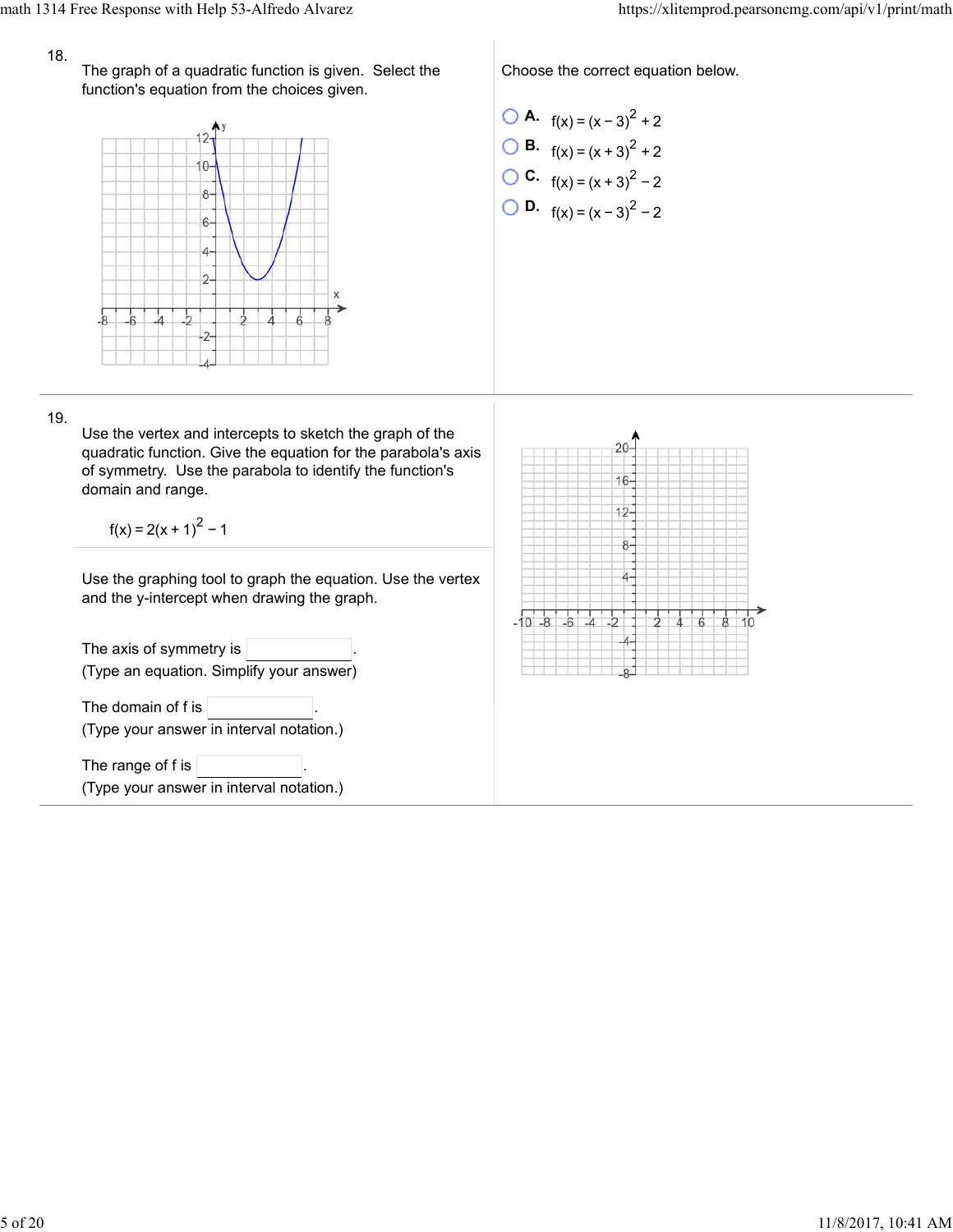## 18.

The graph of a quadratic function is given. Select the function's equation from the choices given.



Choose the correct equation below.

\n- **O A.** 
$$
f(x) = (x - 3)^2 + 2
$$
\n- **O B.**  $f(x) = (x + 3)^2 + 2$
\n- **O C.**  $f(x) = (x + 3)^2 - 2$
\n- **O D.**  $f(x) = (x - 3)^2 - 2$
\n

19.

Use the vertex and intercepts to sketch the graph of the quadratic function. Give the equation for the parabola's axis of symmetry. Use the parabola to identify the function's domain and range.

 $f(x) = 2(x + 1)^{2} - 1$ 

Use the graphing tool to graph the equation. Use the vertex and the y-intercept when drawing the graph.

The axis of symmetry is  $|$ (Type an equation. Simplify your answer) The domain of  $f$  is  $\vert$ (Type your answer in interval notation.) The range of f is (Type your answer in interval notation.)

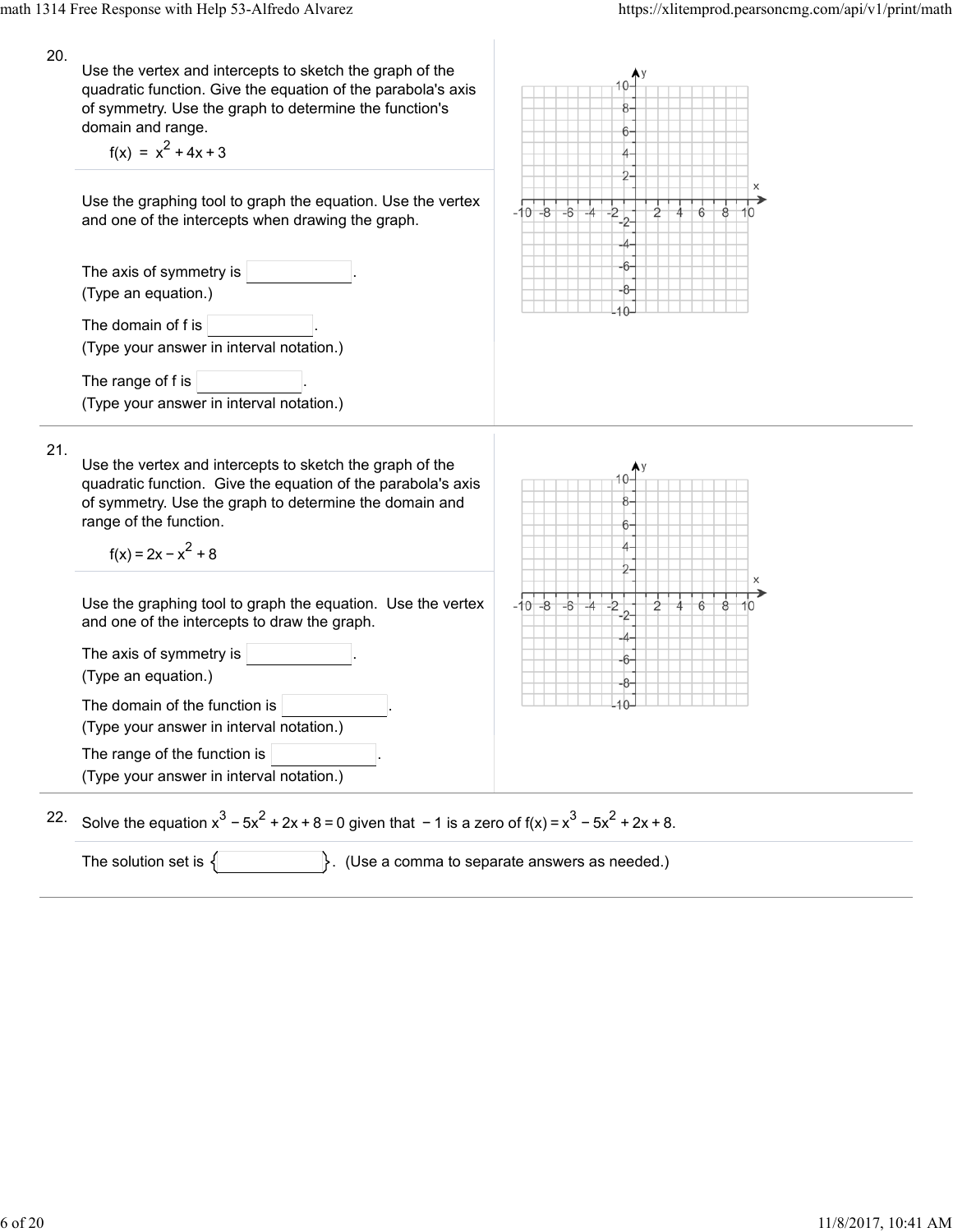| 20. | Use the vertex and intercepts to sketch the graph of the<br>quadratic function. Give the equation of the parabola's axis<br>of symmetry. Use the graph to determine the function's<br>domain and range.<br>$f(x) = x2 + 4x + 3$       | 6                                               |
|-----|---------------------------------------------------------------------------------------------------------------------------------------------------------------------------------------------------------------------------------------|-------------------------------------------------|
|     | Use the graphing tool to graph the equation. Use the vertex<br>and one of the intercepts when drawing the graph.                                                                                                                      | х<br>$-6$<br>$-10 - 8$                          |
|     | The axis of symmetry is<br>(Type an equation.)                                                                                                                                                                                        | 6                                               |
|     | The domain of f is<br>(Type your answer in interval notation.)                                                                                                                                                                        |                                                 |
|     | The range of f is $ $<br>(Type your answer in interval notation.)                                                                                                                                                                     |                                                 |
| 21. | Use the vertex and intercepts to sketch the graph of the<br>quadratic function. Give the equation of the parabola's axis<br>of symmetry. Use the graph to determine the domain and<br>range of the function.<br>$f(x) = 2x - x^2 + 8$ |                                                 |
|     | Use the graphing tool to graph the equation. Use the vertex<br>and one of the intercepts to draw the graph.<br>The axis of symmetry is<br>(Type an equation.)                                                                         | х<br>$-10 - 8$<br>$-6$<br>$-4$<br>$^{2-}$<br>6  |
|     | The domain of the function is<br>(Type your answer in interval notation.)                                                                                                                                                             |                                                 |
|     | The range of the function is<br>(Type your answer in interval notation.)                                                                                                                                                              |                                                 |
| 22. | Solve the equation $x^3 - 5x^2 + 2x + 8 = 0$ given that $-1$ is a zero of $f(x) = x^3 - 5x^2 + 2x + 8$ .                                                                                                                              |                                                 |
|     | The solution set is $\{$                                                                                                                                                                                                              | }. (Use a comma to separate answers as needed.) |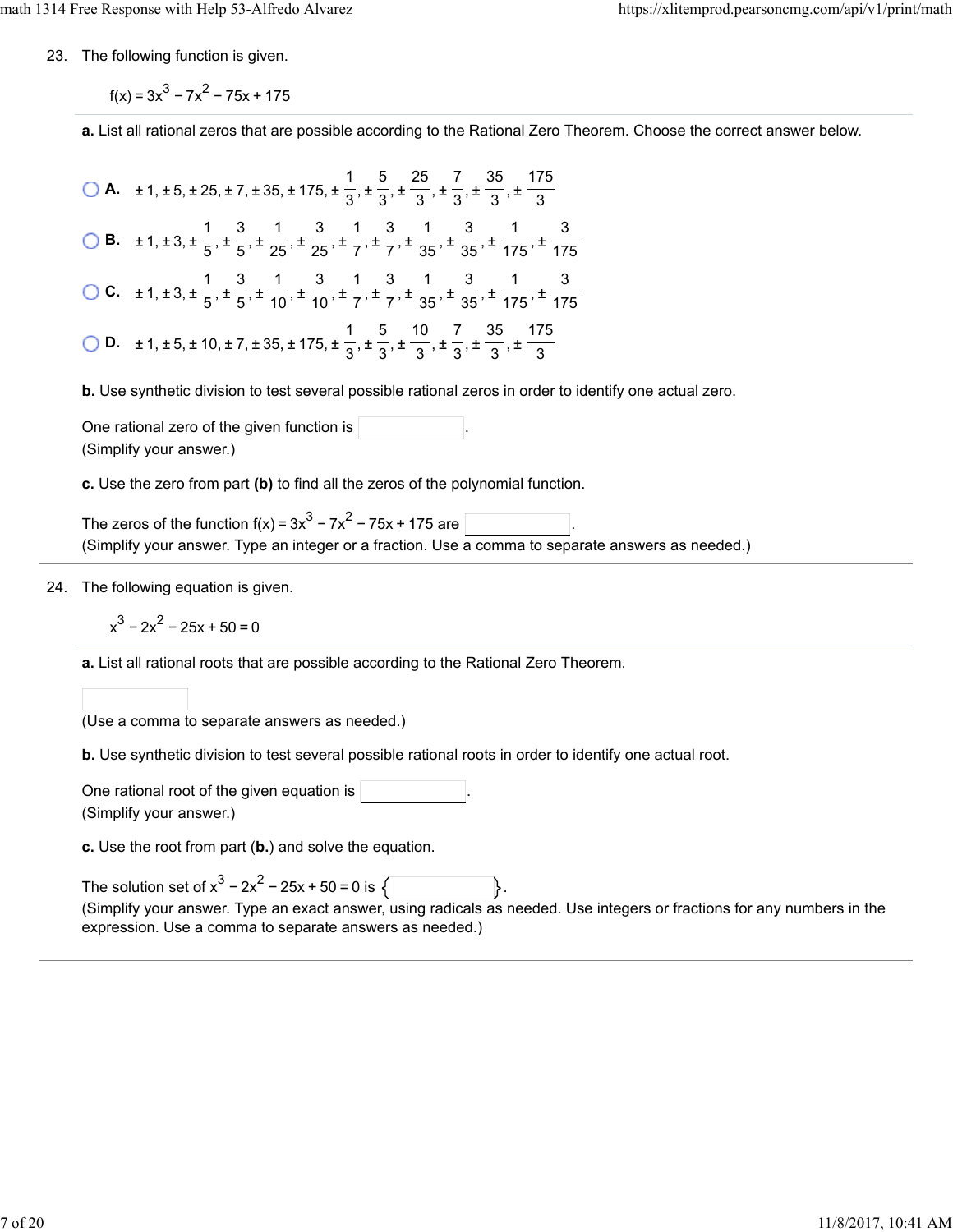23. The following function is given.

 $f(x) = 3x^{3} - 7x^{2} - 75x + 175$ 

**a.** List all rational zeros that are possible according to the Rational Zero Theorem. Choose the correct answer below.

**A.**  $\pm 1, \pm 5, \pm 25, \pm 7, \pm 35, \pm 175, \pm \frac{1}{2}, \pm \frac{5}{2}, \pm \frac{25}{2}, \pm \frac{7}{2}, \pm \frac{35}{2}, \pm \frac{1}{2}$  **B.**  $\pm 1, \pm 3, \pm \frac{1}{5}, \pm \frac{3}{65}, \pm \frac{1}{25}, \pm \frac{3}{75}, \pm \frac{1}{75}, \pm \frac{3}{25}, \pm \frac{1}{25}, \pm \frac{3}{25}, \pm \frac{1}{25}$  **C.**  $\pm 1, \pm 3, \pm \frac{1}{5}, \pm \frac{3}{5}, \pm \frac{1}{40}, \pm \frac{3}{7}, \pm \frac{1}{7}, \pm \frac{3}{75}, \pm \frac{1}{25}, \pm \frac{3}{75}, \pm \frac{1}{75}$  **D.**  $\pm 1, \pm 5, \pm 10, \pm 7, \pm 35, \pm 175, \pm \frac{1}{2}, \pm \frac{5}{2}, \pm \frac{10}{2}, \pm \frac{7}{2}, \pm \frac{35}{2}, \pm \frac{10}{2}$  

**b.** Use synthetic division to test several possible rational zeros in order to identify one actual zero.

One rational zero of the given function is (Simplify your answer.)

**c.** Use the zero from part **(b)** to find all the zeros of the polynomial function.

The zeros of the function  $f(x) = 3x^3 - 7x^2 - 75x + 175$  are (Simplify your answer. Type an integer or a fraction. Use a comma to separate answers as needed.)

24. The following equation is given.

$$
x^3 - 2x^2 - 25x + 50 = 0
$$

**a.** List all rational roots that are possible according to the Rational Zero Theorem.

(Use a comma to separate answers as needed.)

**b.** Use synthetic division to test several possible rational roots in order to identify one actual root.

One rational root of the given equation is . (Simplify your answer.)

**c.** Use the root from part (**b.**) and solve the equation.

| The solution set of $x^3 - 2x^2 - 25x + 50 = 0$ is $\sqrt{ }$                                                           |
|-------------------------------------------------------------------------------------------------------------------------|
| (Simplify your answer. Type an exact answer, using radicals as needed. Use integers or fractions for any numbers in the |
| expression. Use a comma to separate answers as needed.)                                                                 |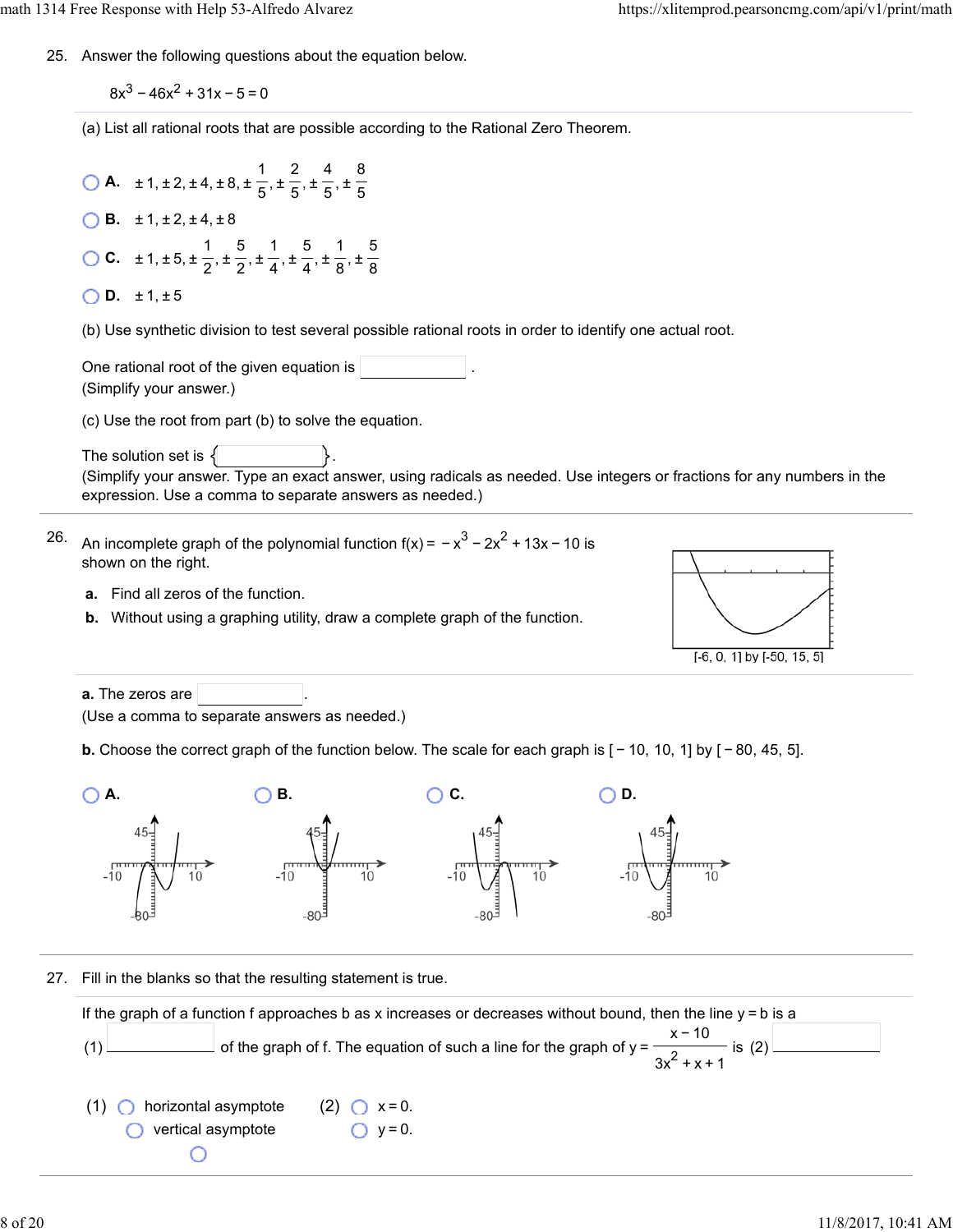25. Answer the following questions about the equation below.

 $8x^3 - 46x^2 + 31x - 5 = 0$ 

(a) List all rational roots that are possible according to the Rational Zero Theorem.

**A.**  $\pm 1, \pm 2, \pm 4, \pm 8, \pm \frac{1}{6}, \pm \frac{2}{6}, \pm \frac{4}{6}, \pm \frac{1}{2}$ 5 2 5 4 5 8 5 **B.**  $\pm 1, \pm 2, \pm 4, \pm 8$ **C.**  $\pm 1, \pm 5, \pm \frac{1}{6}, \pm \frac{5}{6}, \pm \frac{1}{4}, \pm \frac{5}{4}, \pm \frac{1}{6}, \pm \frac{1}{10}$ 2 5 2 1 4 5 4 1 8 5 8  $\bigcirc$  **D.**  $\pm$  1,  $\pm$  5

(b) Use synthetic division to test several possible rational roots in order to identify one actual root.

One rational root of the given equation is (Simplify your answer.)

(c) Use the root from part (b) to solve the equation.

The solution set is  $\{$ (Simplify your answer. Type an exact answer, using radicals as needed. Use integers or fractions for any numbers in the expression. Use a comma to separate answers as needed.)

- 26. An incomplete graph of the polynomial function f(x) =  $-x^3 - 2x^2 + 13x - 10$  is shown on the right.
	- **a.** Find all zeros of the function.
	- **b.** Without using a graphing utility, draw a complete graph of the function.



**a.** The zeros are (Use a comma to separate answers as needed.)

**b.** Choose the correct graph of the function below. The scale for each graph is  $[-10, 10, 1]$  by  $[-80, 45, 5]$ .



27. Fill in the blanks so that the resulting statement is true.

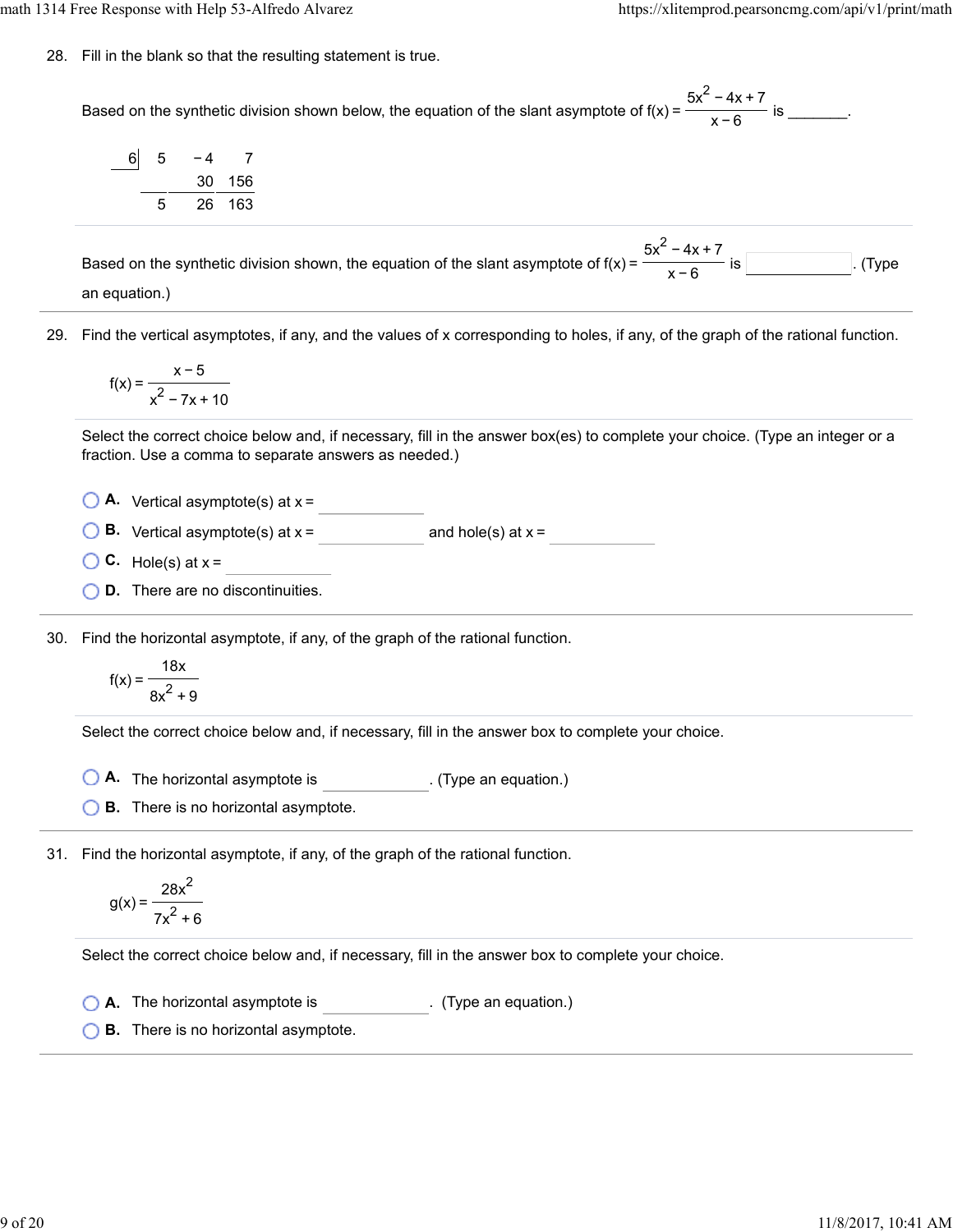math 1314 Free Response with Help 53-Alfredo Alvarez https://xlitemprod.pearsoncmg.com/api/v1/print/math

28. Fill in the blank so that the resulting statement is true.

Based on the synthetic division shown below, the equation of the slant asymptote of  $f(x) = \frac{1}{x}$  for  $\frac{1}{x}$  is  $\frac{1}{x}$ .  $5x^2 - 4x + 7$ x−6

| 6 | 5 | - 4 |        |
|---|---|-----|--------|
|   |   |     | 30 156 |
|   | 5 |     | 26 163 |

Based on the synthetic division shown, the equation of the slant asymptote of  $f(x) = \frac{1}{\sqrt{2}}$  is . (Type  $5x^2 - 4x + 7$ x−6

an equation.)

29. Find the vertical asymptotes, if any, and the values of x corresponding to holes, if any, of the graph of the rational function.

$$
f(x) = \frac{x-5}{x^2 - 7x + 10}
$$

Select the correct choice below and, if necessary, fill in the answer box(es) to complete your choice. (Type an integer or a fraction. Use a comma to separate answers as needed.)

 $\bigcirc$  **A.** Vertical asymptote(s) at  $x =$ 

**B.** Vertical asymptote(s) at  $x =$  and hole(s) at  $x =$ 

- $\bigcirc$  **C.** Hole(s) at  $x =$
- **D.** There are no discontinuities.

30. Find the horizontal asymptote, if any, of the graph of the rational function.

$$
f(x) = \frac{18x}{8x^2 + 9}
$$

Select the correct choice below and, if necessary, fill in the answer box to complete your choice.

**A.** The horizontal asymptote is . (Type an equation.)

**B.** There is no horizontal asymptote.

31. Find the horizontal asymptote, if any, of the graph of the rational function.

$$
g(x) = \frac{28x^2}{7x^2 + 6}
$$

Select the correct choice below and, if necessary, fill in the answer box to complete your choice.

**A.** The horizontal asymptote is . (Type an equation.)

**B.** There is no horizontal asymptote.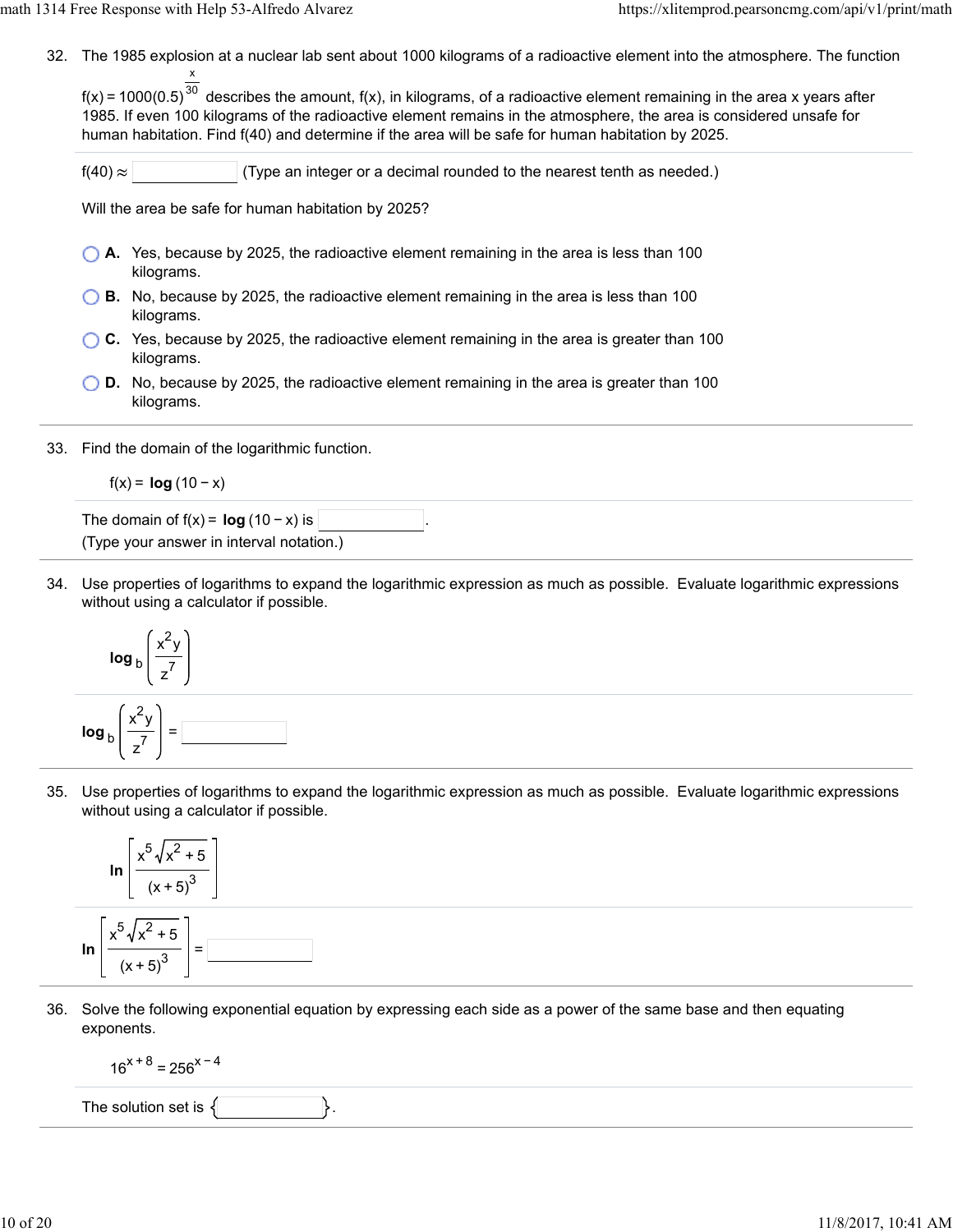32. The 1985 explosion at a nuclear lab sent about 1000 kilograms of a radioactive element into the atmosphere. The function x

f(x) = 1000(0.5) $^{30}$  describes the amount, f(x), in kilograms, of a radioactive element remaining in the area x years after 1985. If even 100 kilograms of the radioactive element remains in the atmosphere, the area is considered unsafe for human habitation. Find f(40) and determine if the area will be safe for human habitation by 2025.

 $f(40) \approx$  (Type an integer or a decimal rounded to the nearest tenth as needed.)

Will the area be safe for human habitation by 2025?

- **A.** Yes, because by 2025, the radioactive element remaining in the area is less than 100 kilograms.
- **B.** No, because by 2025, the radioactive element remaining in the area is less than 100 kilograms.
- **C.** Yes, because by 2025, the radioactive element remaining in the area is greater than 100 kilograms.
- **D.** No, because by 2025, the radioactive element remaining in the area is greater than 100 kilograms.
- 33. Find the domain of the logarithmic function.

$$
f(x) = \log(10 - x)
$$

The domain of  $f(x) = \log(10 - x)$  is (Type your answer in interval notation.)

34. Use properties of logarithms to expand the logarithmic expression as much as possible. Evaluate logarithmic expressions without using a calculator if possible.



35. Use properties of logarithms to expand the logarithmic expression as much as possible. Evaluate logarithmic expressions without using a calculator if possible.



36. Solve the following exponential equation by expressing each side as a power of the same base and then equating exponents.

$$
16^{x+8} = 256^{x-4}
$$

The solution set is  $\{$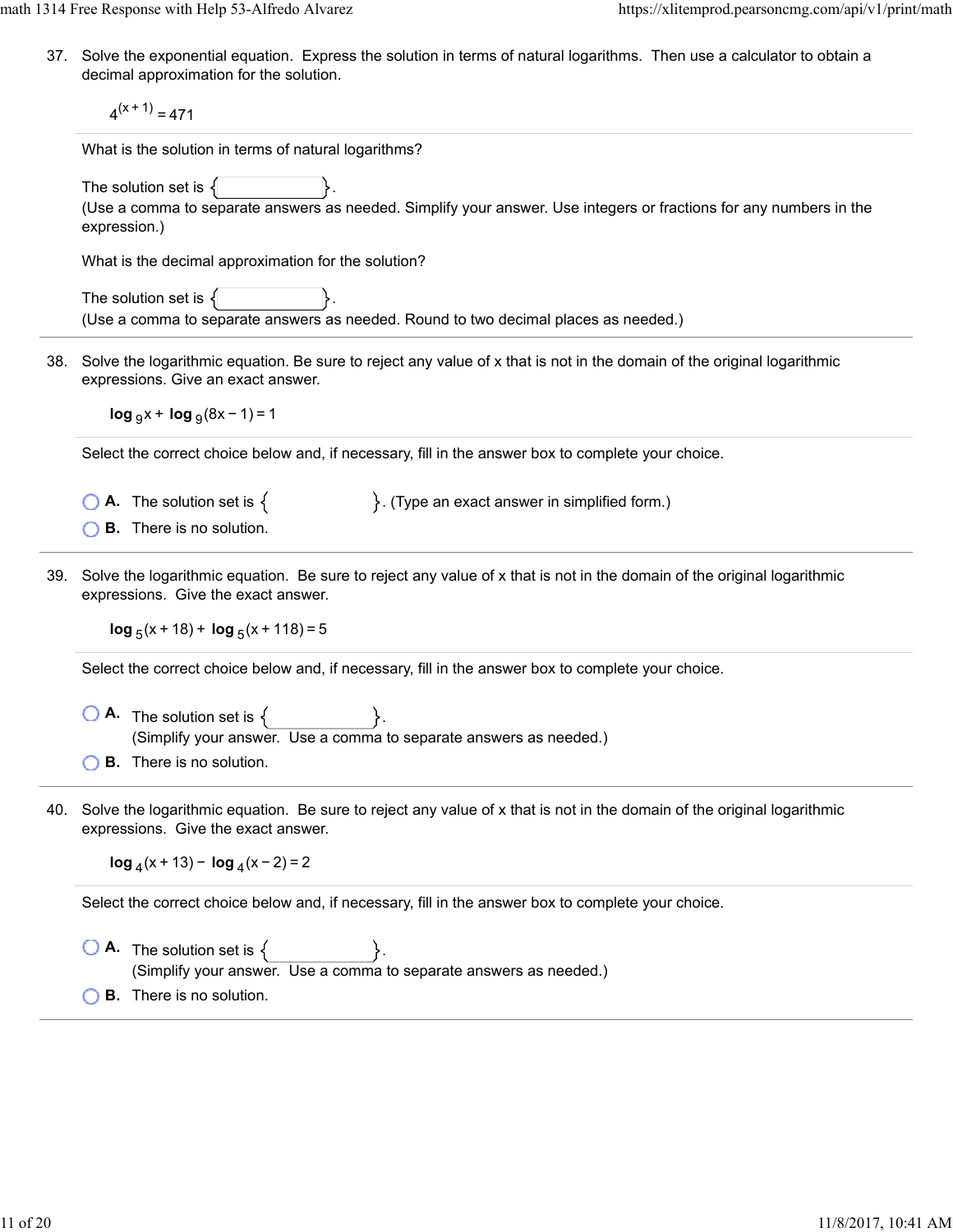math 1314 Free Response with Help 53-Alfredo Alvarez https://xlitemprod.pearsoncmg.com/api/v1/print/math

37. Solve the exponential equation. Express the solution in terms of natural logarithms. Then use a calculator to obtain a decimal approximation for the solution.

 $4<sup>(x + 1)</sup> = 471$ 

What is the solution in terms of natural logarithms?

The solution set is  $\{$ 

(Use a comma to separate answers as needed. Simplify your answer. Use integers or fractions for any numbers in the expression.)

What is the decimal approximation for the solution?

The solution set is  $\{$ (Use a comma to separate answers as needed. Round to two decimal places as needed.)

38. Solve the logarithmic equation. Be sure to reject any value of x that is not in the domain of the original logarithmic expressions. Give an exact answer.

**log**  $9x + \log_9(8x - 1) = 1$ 

Select the correct choice below and, if necessary, fill in the answer box to complete your choice.

**A.** The solution set is  $\{$   $\}$ . (Type an exact answer in simplified form.)

**B.** There is no solution.

39. Solve the logarithmic equation. Be sure to reject any value of x that is not in the domain of the original logarithmic expressions. Give the exact answer.

**log**  $_5(x + 18) +$  **log**  $_5(x + 118) = 5$ 

Select the correct choice below and, if necessary, fill in the answer box to complete your choice.

- $\bigcirc$  **A.** The solution set is  $\{ \}$ . (Simplify your answer. Use a comma to separate answers as needed.) **B.** There is no solution.
- 40. Solve the logarithmic equation. Be sure to reject any value of x that is not in the domain of the original logarithmic expressions. Give the exact answer.

**log**  $_4$ (x + 13) − **log**  $_4$ (x − 2) = 2

Select the correct choice below and, if necessary, fill in the answer box to complete your choice.

 $\bigcirc$  **A.** The solution set is  $\{$ (Simplify your answer. Use a comma to separate answers as needed.) **B.** There is no solution.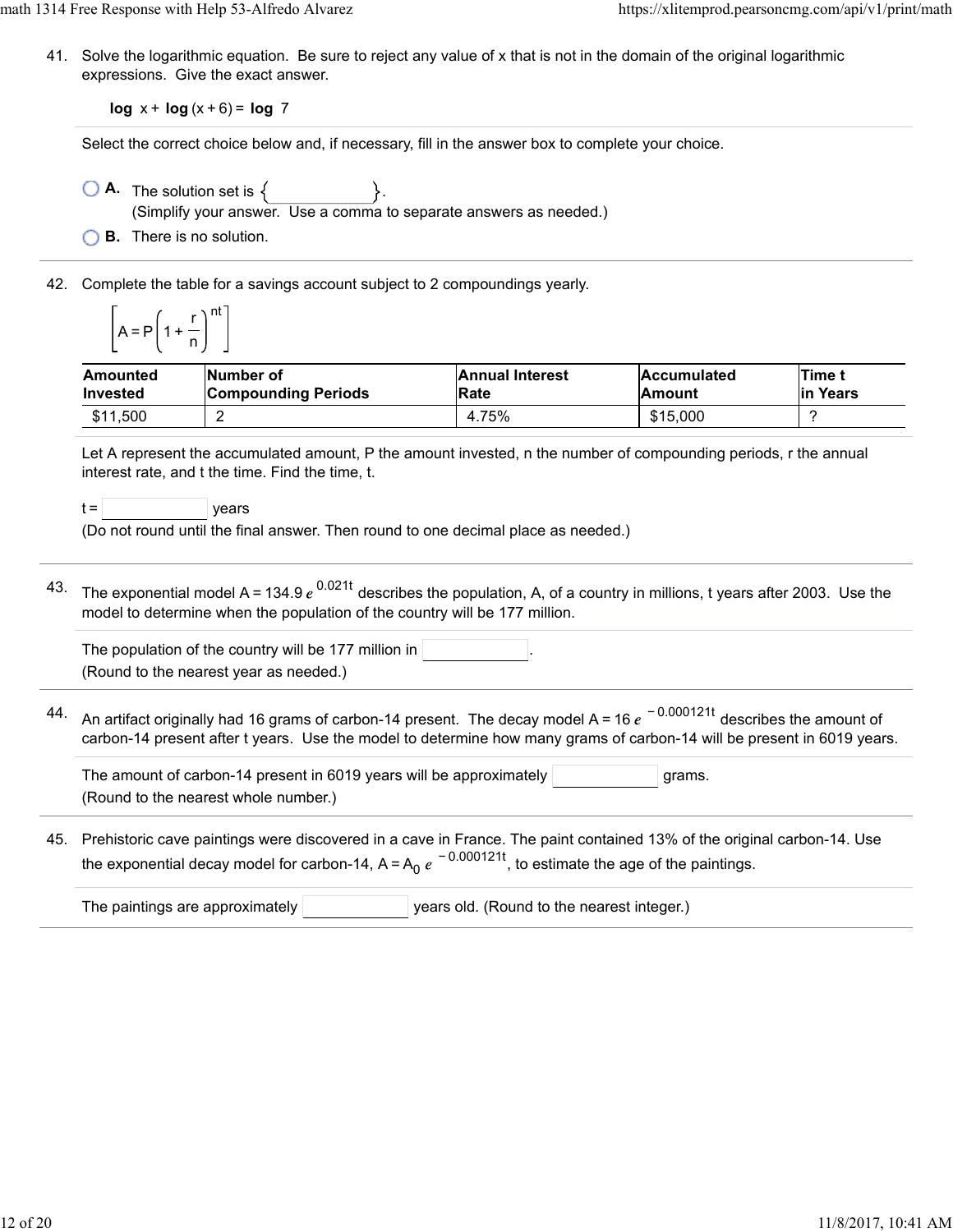41. Solve the logarithmic equation. Be sure to reject any value of x that is not in the domain of the original logarithmic expressions. Give the exact answer.

**log** x + **log** (x + 6) = **log** 7

Select the correct choice below and, if necessary, fill in the answer box to complete your choice.

- $\bigcirc$  **A.** The solution set is  $\{$ (Simplify your answer. Use a comma to separate answers as needed.)
- **B.** There is no solution.
- 42. Complete the table for a savings account subject to 2 compoundings yearly.

$$
\left[A = P\left(1 + \frac{r}{n}\right)^{nt}\right]
$$

| Amounted | <b>INumber of</b>          | <b>Annual Interest</b> | <b>Accumulated</b> | Time t    |
|----------|----------------------------|------------------------|--------------------|-----------|
| Invested | <b>Compounding Periods</b> | Rate                   | lAmount            | lin Years |
| \$11,500 |                            | 4.75%                  | \$15,000           |           |

Let A represent the accumulated amount, P the amount invested, n the number of compounding periods, r the annual interest rate, and t the time. Find the time, t.

 $t =$   $\vert$  years

(Do not round until the final answer. Then round to one decimal place as needed.)

 $^{43.}$  The exponential model A = 134.9  $e^{\,0.021t}$  describes the population, A, of a country in millions, t years after 2003. Use the model to determine when the population of the country will be 177 million.

| The population of the country will be 177 million in $ $ |  |  |
|----------------------------------------------------------|--|--|
| (Round to the nearest vear as needed.)                   |  |  |

44. An artifact originally had 16 grams of carbon-14 present. The decay model A = 16  $e^{\,\,-\,0.000121t}$  describes the amount of carbon-14 present after t years. Use the model to determine how many grams of carbon-14 will be present in 6019 years.

The amount of carbon-14 present in 6019 years will be approximately  $\vert$   $\vert$   $\vert$  grams. (Round to the nearest whole number.)

45. Prehistoric cave paintings were discovered in a cave in France. The paint contained 13% of the original carbon-14. Use the exponential decay model for carbon-14, A=A<sub>0</sub>  $e^{\,-\,0.000121t}$ , to estimate the age of the paintings.

| The paintings are approximately $ $ | vears old. (Round to the nearest integer.) |
|-------------------------------------|--------------------------------------------|
|                                     |                                            |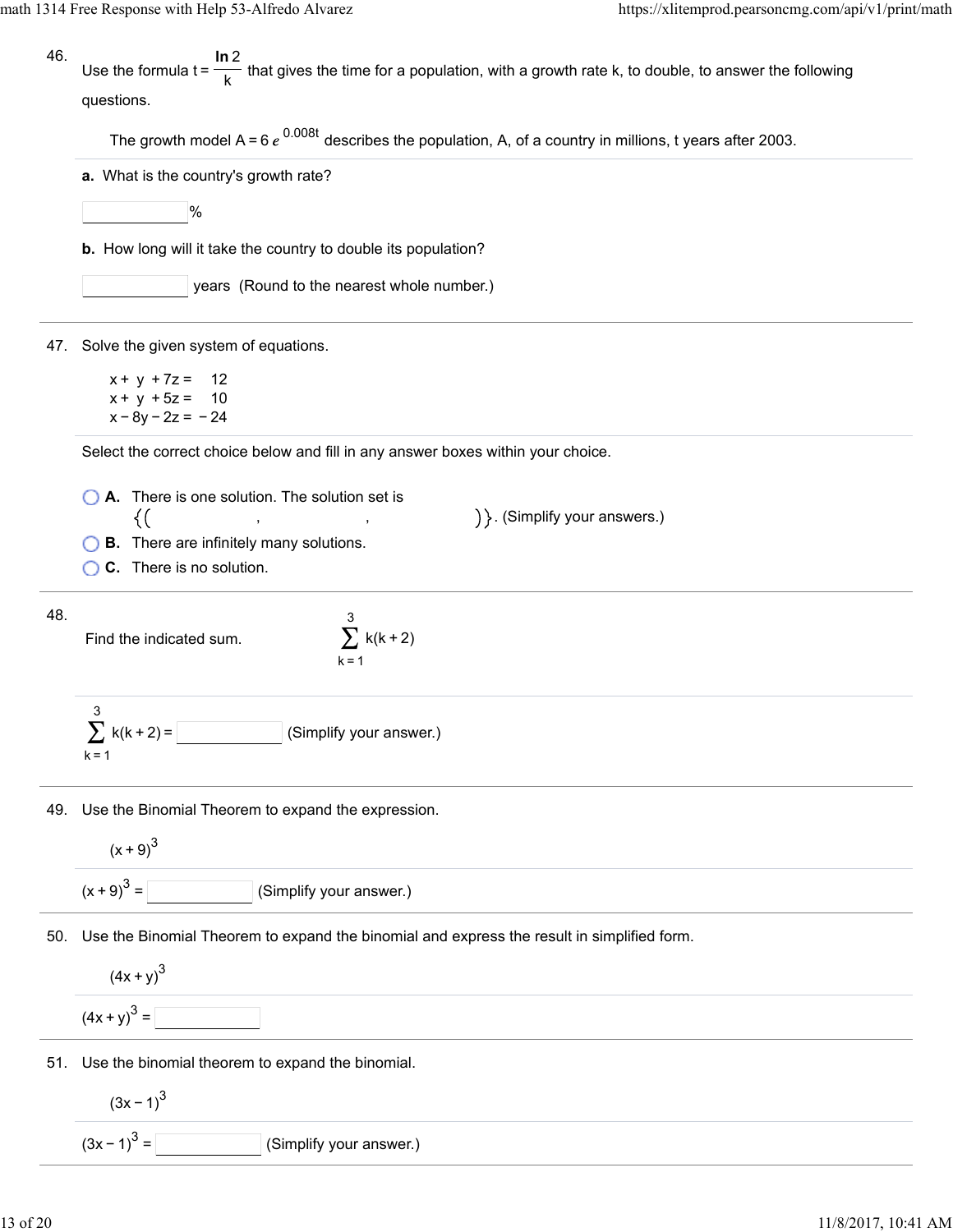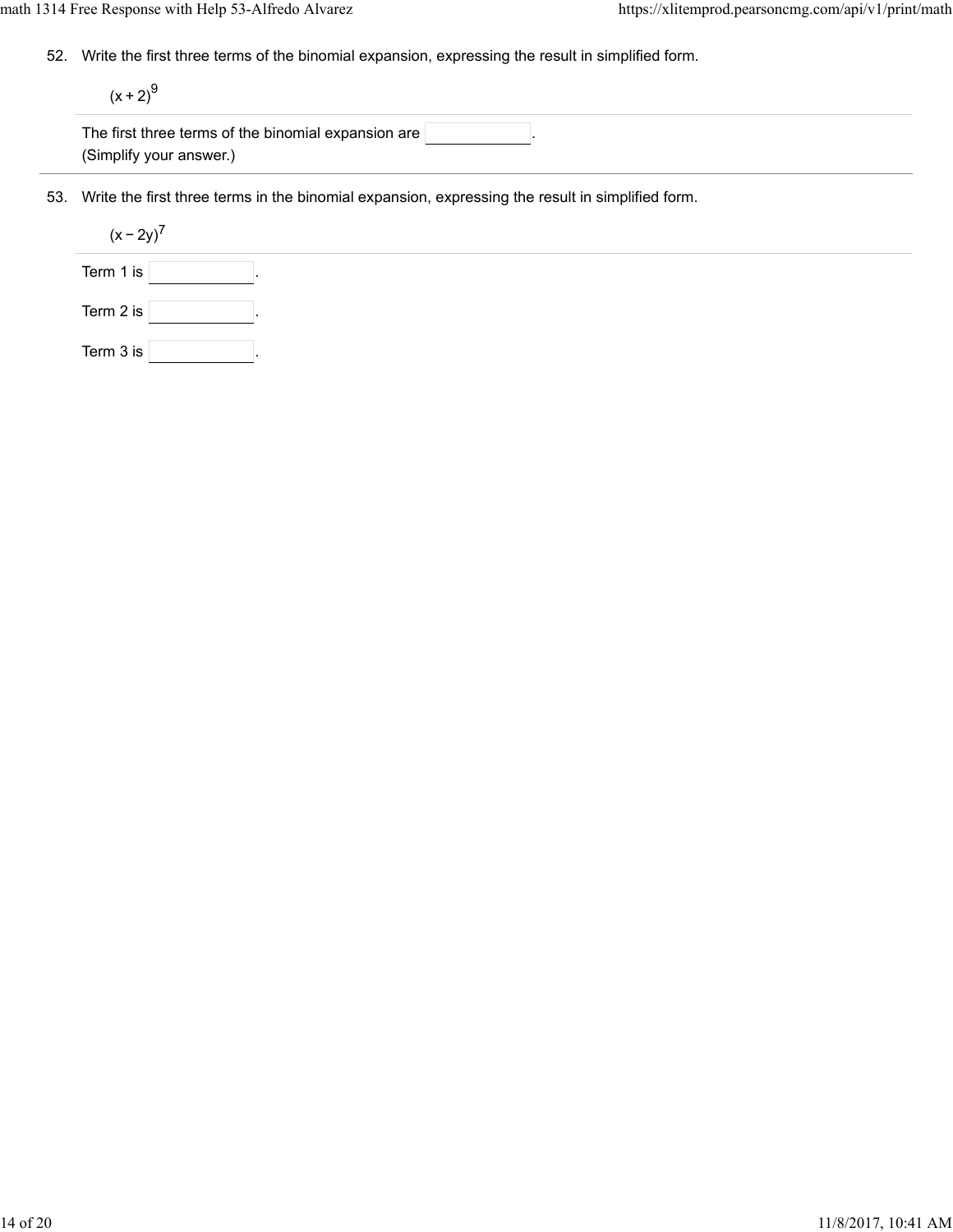52. Write the first three terms of the binomial expansion, expressing the result in simplified form.

 $(x + 2)^{9}$ 

| The first three terms of the binomial expansion are $\mathbin\Vert$ |  |  |
|---------------------------------------------------------------------|--|--|
| (Simplify your answer.)                                             |  |  |

53. Write the first three terms in the binomial expansion, expressing the result in simplified form.

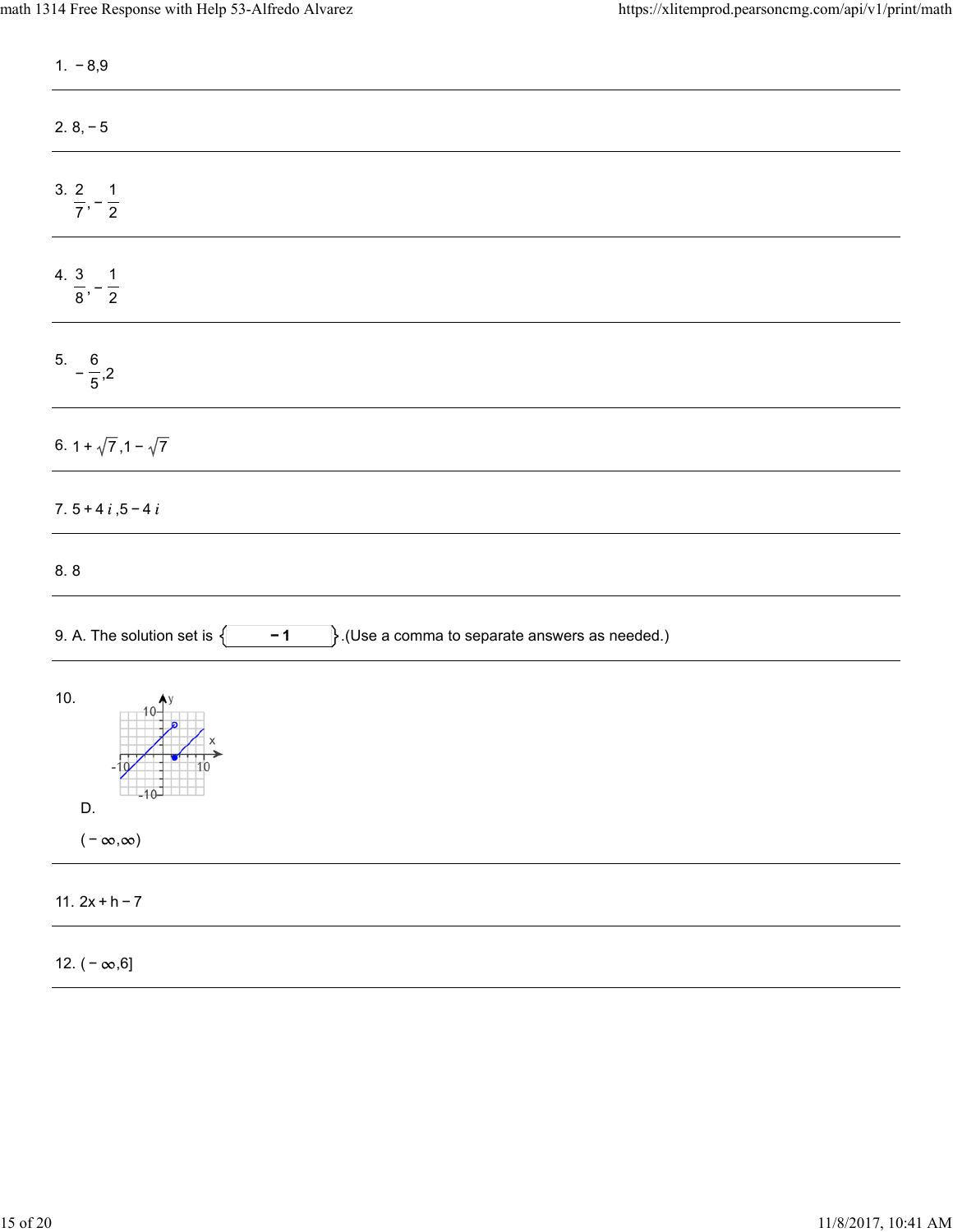| $1. -8.9$                                                                                        |
|--------------------------------------------------------------------------------------------------|
| $2.8, -5$                                                                                        |
| $\frac{3.2}{7}, -\frac{1}{2}$                                                                    |
| 4. $\frac{3}{8}, -\frac{1}{2}$                                                                   |
| $rac{6}{5}$ - $rac{6}{5}$ , 2                                                                    |
| 6. $1 + \sqrt{7}$ , $1 - \sqrt{7}$                                                               |
| 7. $5 + 4i, 5 - 4i$                                                                              |
| 8.8                                                                                              |
| $\Big\}.$ (Use a comma to separate answers as needed.)<br>9. A. The solution set is $\{$<br>$-1$ |
| 10.<br>$\frac{1}{10}$<br>D.<br>$(-\infty,\infty)$                                                |
| 11. $2x + h - 7$                                                                                 |
| 12. $(-\infty,6]$                                                                                |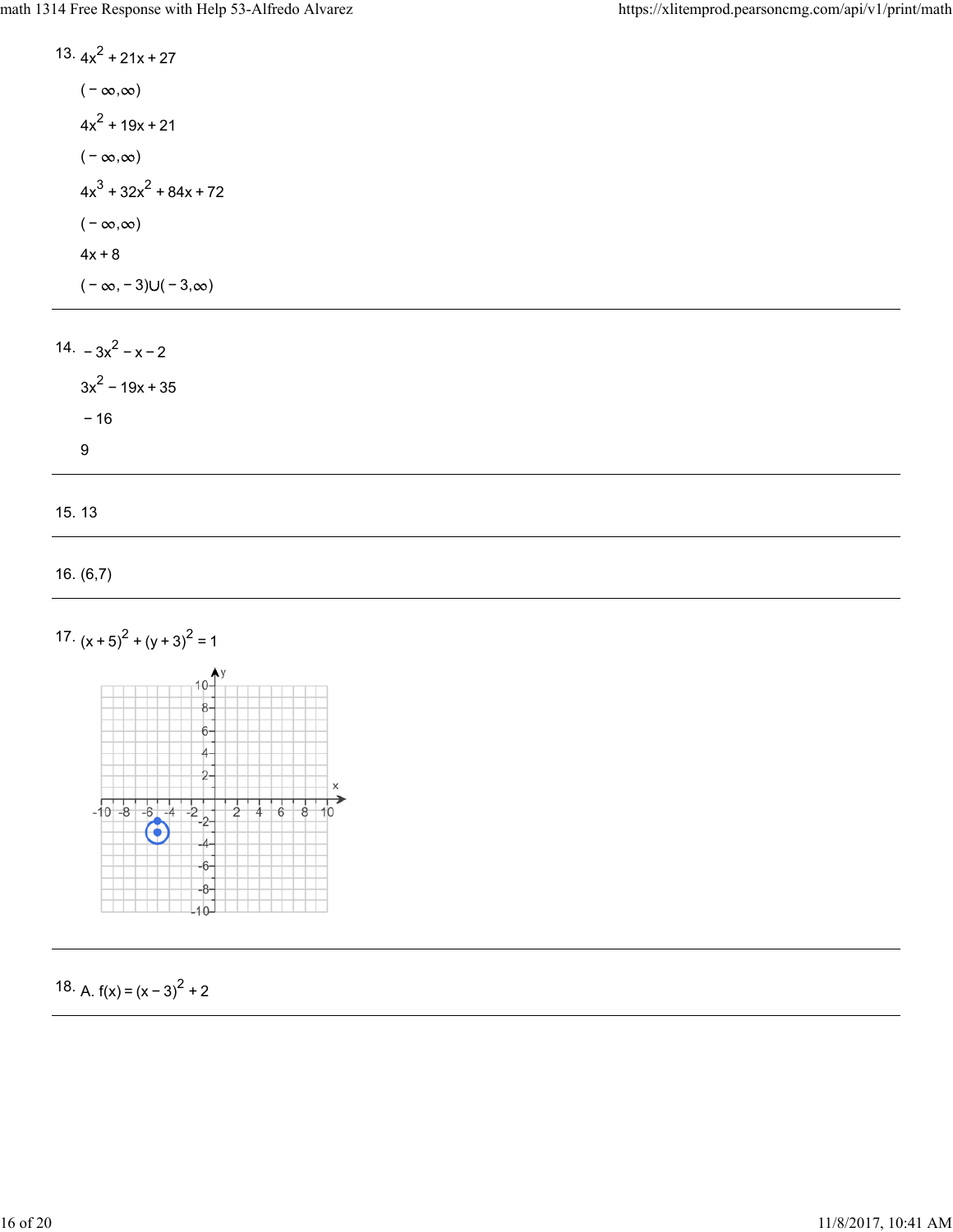13.  $4x^2 + 21x + 27$  $(-\infty, \infty)$  $4x^2 + 19x + 21$  $(-\infty, \infty)$  $4x^3 + 32x^2 + 84x + 72$  $(-\infty, \infty)$  $4x + 8$  $(-\infty, -3) \cup (-3, \infty)$ 

14.  $-3x^2 - x - 2$  $3x^2 - 19x + 35$ − 16 9

15. 13

```
16. (6,7)
```




18. A.  $f(x) = (x-3)^2 + 2$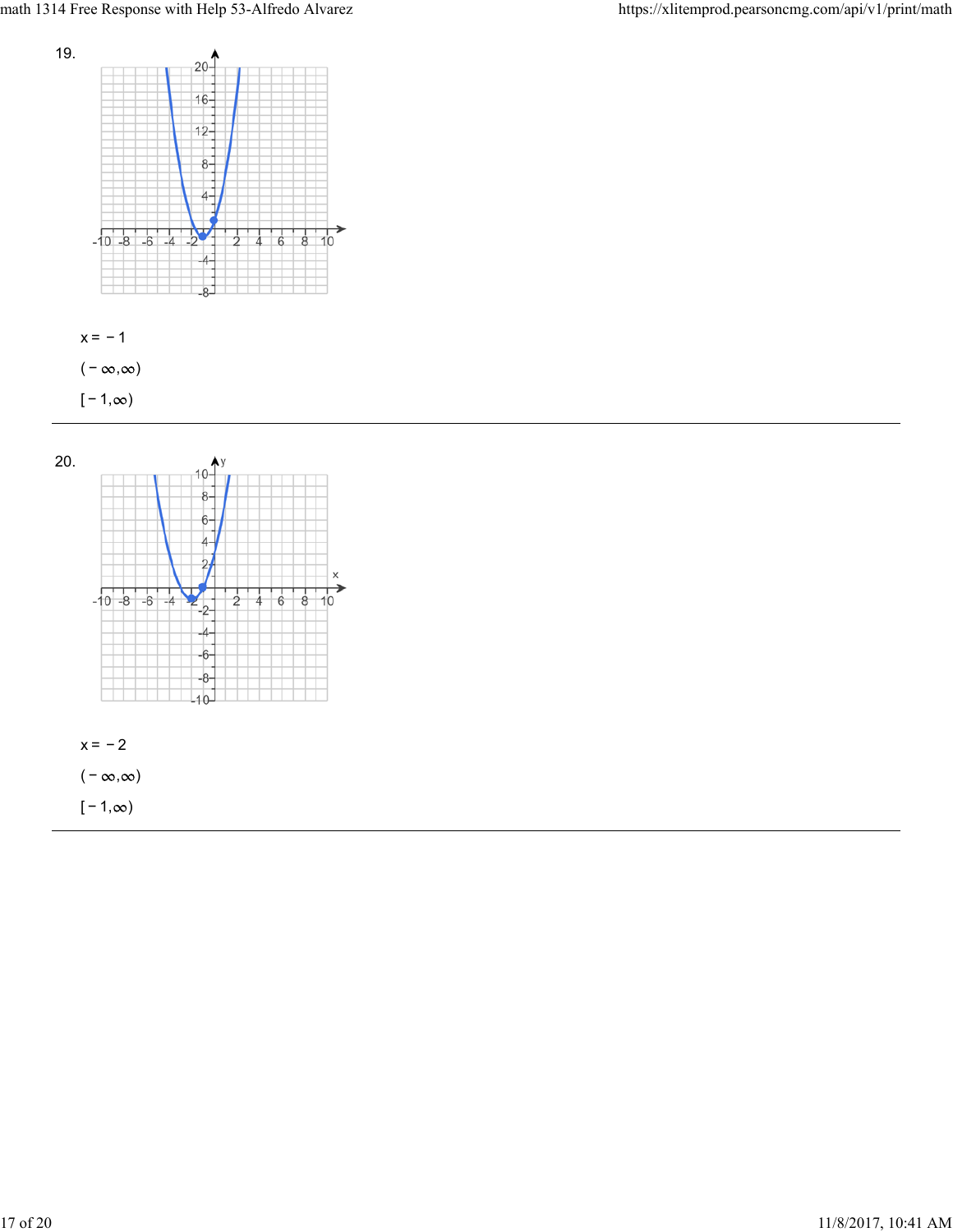



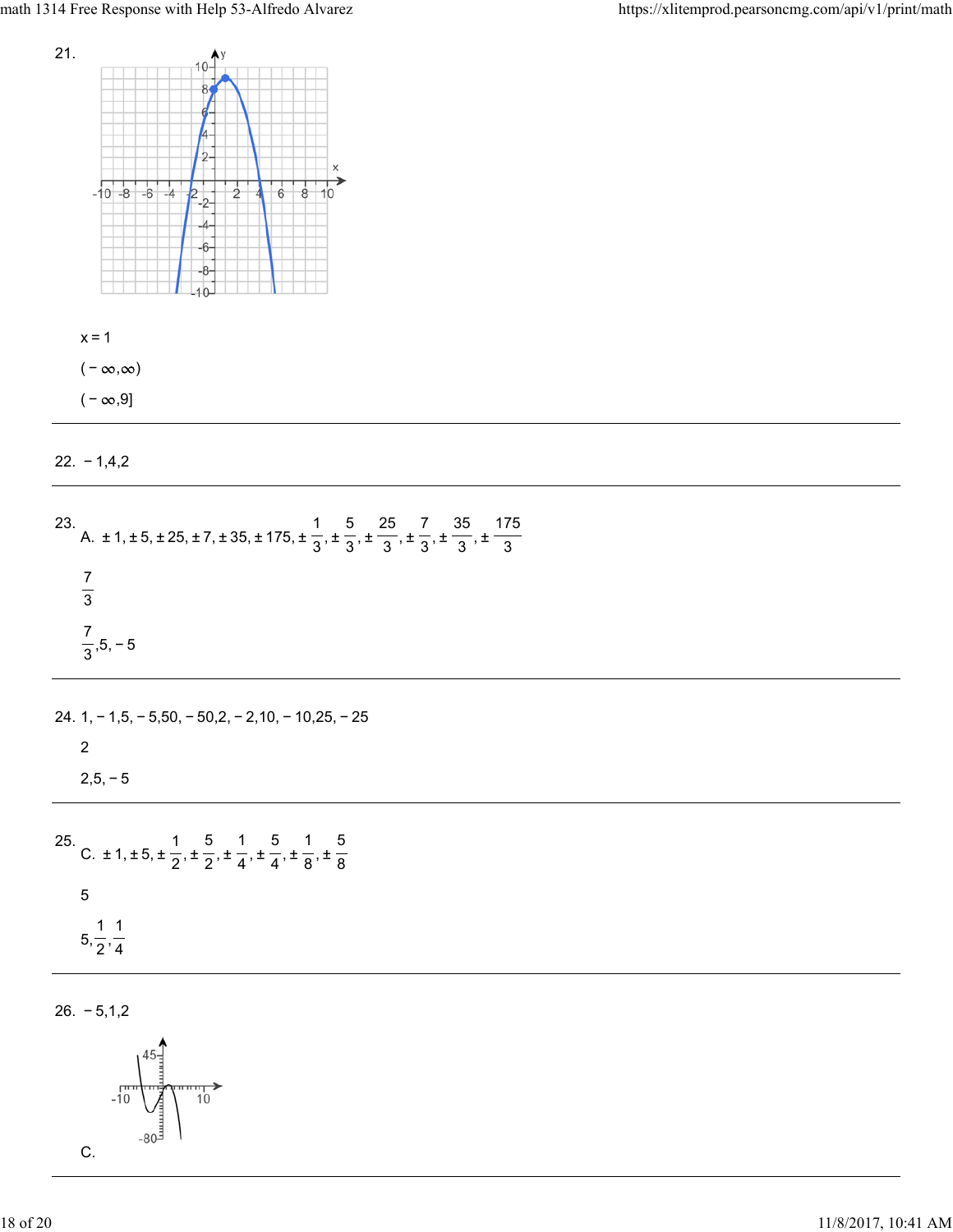

 $x=1$ ( –  $\infty, \infty$ )

( –  $\infty, 9$ ]

22. − 1,4,2

| 23. A. $\pm$ 1, $\pm$ 5, $\pm$ 25, $\pm$ 7, $\pm$ 35, $\pm$ 175, $\pm$ $\frac{1}{3}$ , $\pm$ $\frac{5}{3}$ , $\pm$ $\frac{25}{3}$ , $\pm$ $\frac{7}{3}$ , $\pm$ $\frac{35}{3}$ , $\pm$ $\frac{175}{3}$ |
|--------------------------------------------------------------------------------------------------------------------------------------------------------------------------------------------------------|
| $rac{7}{3}$                                                                                                                                                                                            |
| $\frac{7}{3}$ , 5, -5                                                                                                                                                                                  |
| 24. $1, -1, 5, -5, 50, -50, 2, -2, 10, -10, 25, -25$                                                                                                                                                   |
| 2<br>$2,5,-5$                                                                                                                                                                                          |
|                                                                                                                                                                                                        |
| 25. C. ± 1, ± 5, ± $\frac{1}{2}$ , ± $\frac{5}{2}$ , ± $\frac{1}{4}$ , ± $\frac{5}{4}$ , ± $\frac{1}{8}$ , ± $\frac{5}{8}$                                                                             |
| $\overline{5}$<br>$5, \frac{1}{2}, \frac{1}{4}$                                                                                                                                                        |
|                                                                                                                                                                                                        |

26. − 5,1,2

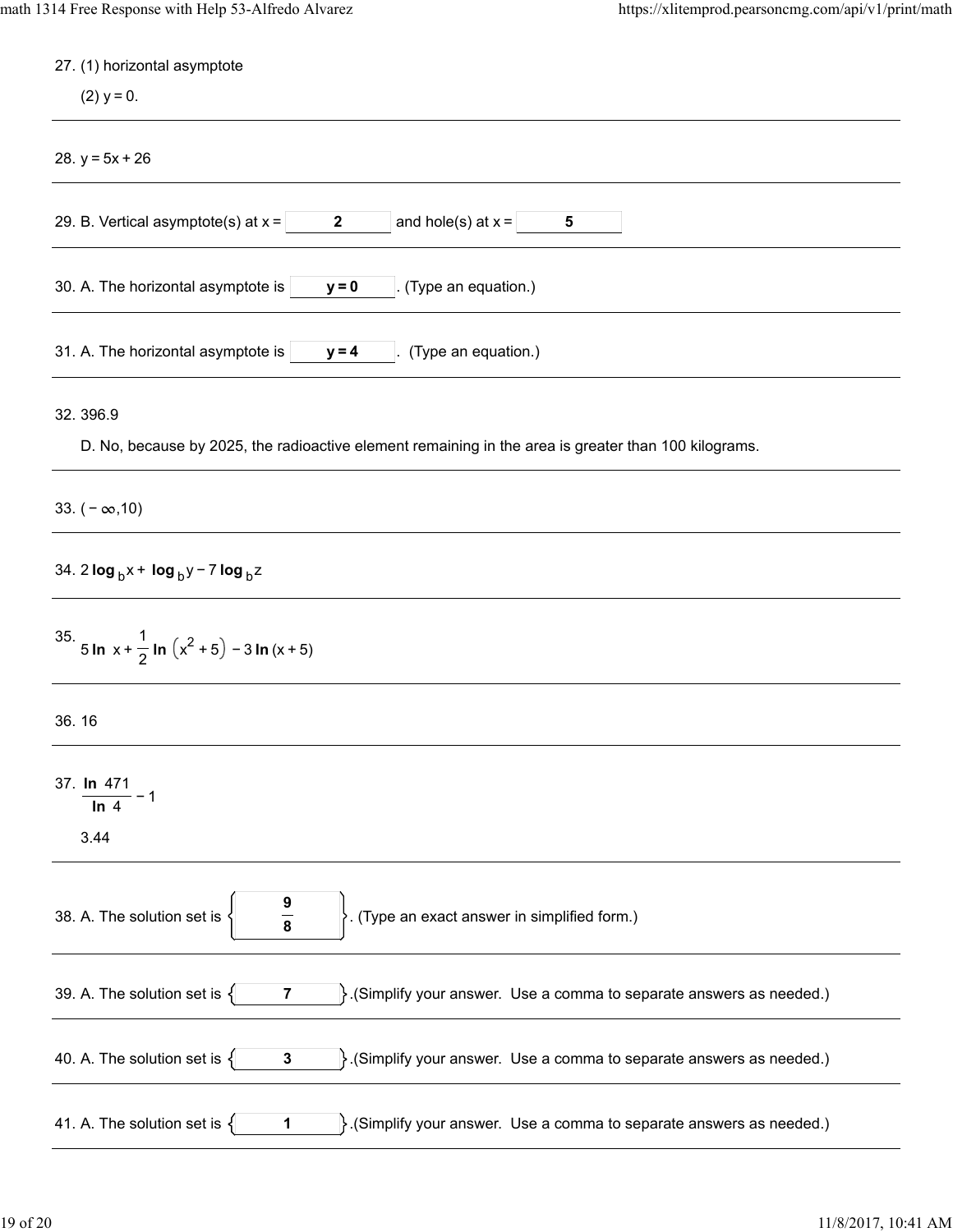| 27. (1) horizontal asymptote                                                                                                 |
|------------------------------------------------------------------------------------------------------------------------------|
| $(2)$ y = 0.                                                                                                                 |
| 28. $y = 5x + 26$                                                                                                            |
| and hole(s) at $x =$<br>29. B. Vertical asymptote(s) at $x =$<br>$\mathbf{2}$<br>5                                           |
| 30. A. The horizontal asymptote is<br>(Type an equation.)<br>$y = 0$                                                         |
| 31. A. The horizontal asymptote is<br>(Type an equation.)<br>$y = 4$                                                         |
| 32.396.9<br>D. No, because by 2025, the radioactive element remaining in the area is greater than 100 kilograms.             |
| 33. $(-\infty, 10)$                                                                                                          |
| 34. 2 $\log_b x + \log_b y - 7 \log_b z$                                                                                     |
| 35. 5 In $x + \frac{1}{2}$ In $(x^2 + 5) - 3$ In $(x + 5)$                                                                   |
| 36.16                                                                                                                        |
| 37. In 471<br>In $4$<br>3.44                                                                                                 |
| $\frac{9}{8}$<br>(Type an exact answer in simplified form.)<br>38. A. The solution set is                                    |
| 39. A. The solution set is $\{$<br>(Simplify your answer. Use a comma to separate answers as needed.)<br>7                   |
| 40. A. The solution set is $\{$<br>$\}$ . (Simplify your answer. Use a comma to separate answers as needed.)<br>$\mathbf{3}$ |
| 41. A. The solution set is $\{$<br>$\}$ . (Simplify your answer. Use a comma to separate answers as needed.)<br>1            |